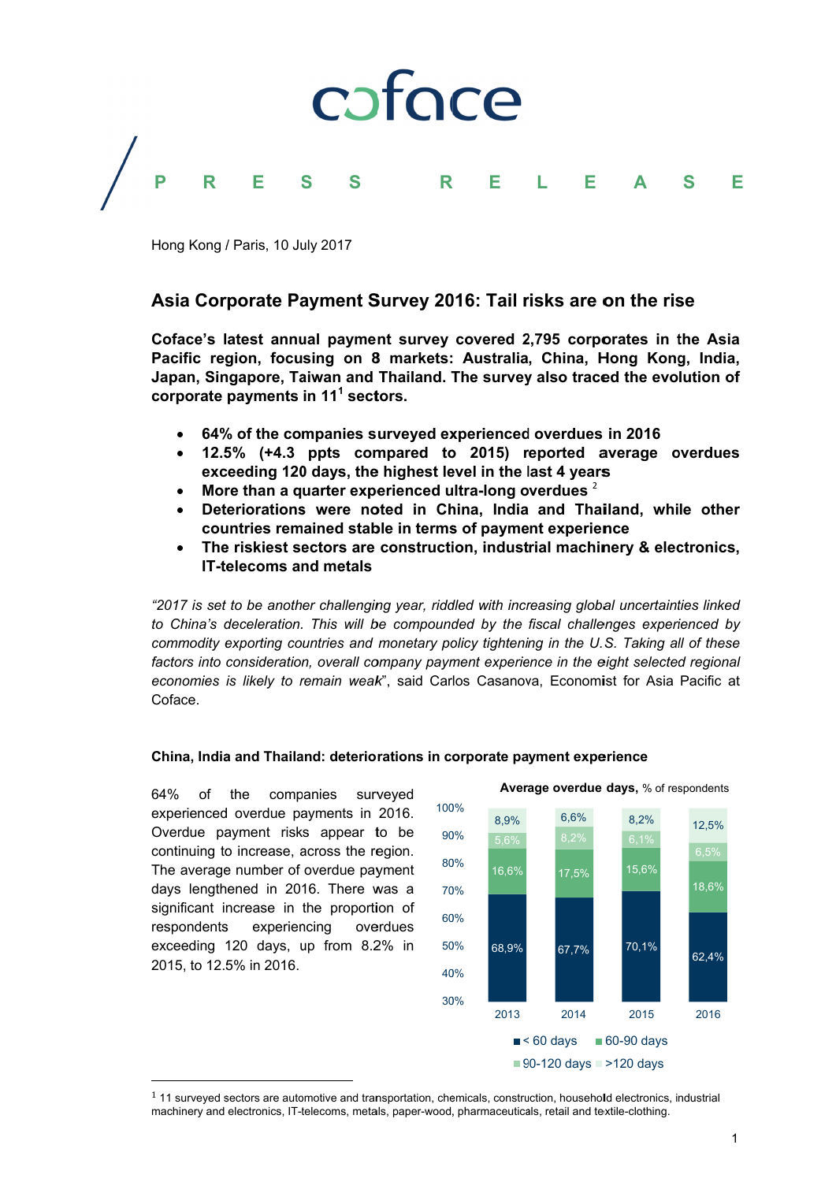

Hong Kong / Paris, 10 July 2017

# Asia Corporate Payment Survey 2016: Tail risks are on the rise

Coface's latest annual payment survey covered 2,795 corporates in the Asia Pacific region, focusing on 8 markets: Australia, China, Hong Kong, India, Japan, Singapore, Taiwan and Thailand, The survey also traced the evolution of corporate payments in 11<sup>1</sup> sectors.

- 64% of the companies surveved experienced overdues in 2016
- 12.5% (+4.3 ppts compared to 2015) reported average overdues exceeding 120 days, the highest level in the last 4 years
- More than a quarter experienced ultra-long overdues 2
- Deteriorations were noted in China, India and Thailand, while other countries remained stable in terms of payment experience
- The riskiest sectors are construction, industrial machinery & electronics, **IT-telecoms and metals**

"2017 is set to be another challenging year, riddled with increasing global uncertainties linked to China's deceleration. This will be compounded by the fiscal challenges experienced by commodity exporting countries and monetary policy tightening in the U.S. Taking all of these factors into consideration, overall company payment experience in the eight selected regional economies is likely to remain weak", said Carlos Casanova, Economist for Asia Pacific at Coface.

# China, India and Thailand: deteriorations in corporate payment experience

64% the **of** companies surveved experienced overdue payments in 2016. Overdue payment risks appear to be continuing to increase, across the region. The average number of overdue payment days lengthened in 2016. There was a significant increase in the proportion of respondents experiencing overdues exceeding 120 days, up from 8.2% in 2015, to 12.5% in 2016.



#### <sup>1</sup> 11 surveyed sectors are automotive and transportation, chemicals, construction, household electronics, industrial machinery and electronics, IT-telecoms, metals, paper-wood, pharmaceuticals, retail and textile-clothing.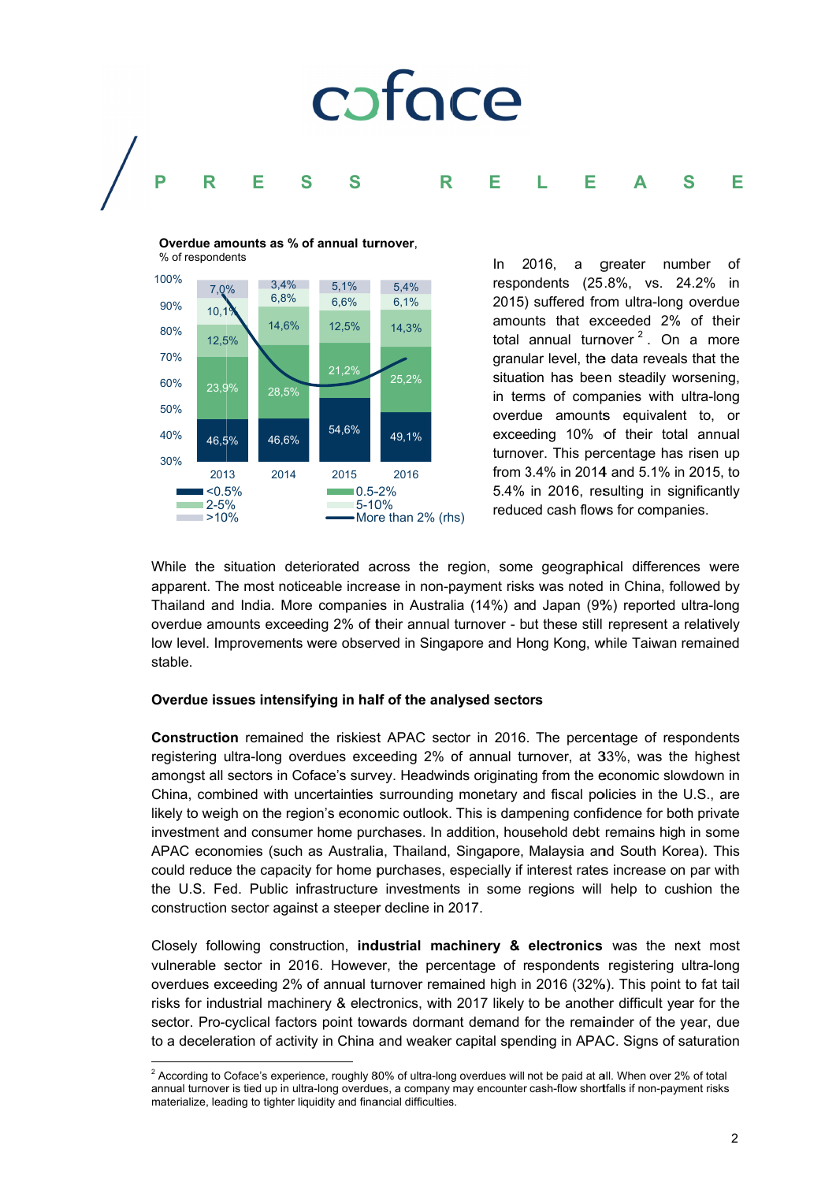

Overdue amounts as % of annual turnover. % of respondents 100%



2016. a greater number In. Ωf respondents (25.8%, vs. 24.2%) in 2015) suffered from ultra-long overdue amounts that exceeded 2% of their total annual turnover<sup>2</sup>. On a more granular level, the data reveals that the situation has been steadily worsening. in terms of companies with ultra-long overdue amounts equivalent to, or exceeding 10% of their total annual turnover. This percentage has risen up from 3.4% in 2014 and 5.1% in 2015, to 5.4% in 2016, resulting in significantly reduced cash flows for companies.

While the situation deteriorated across the region, some geographical differences were apparent. The most noticeable increase in non-payment risks was noted in China, followed by Thailand and India. More companies in Australia (14%) and Japan (9%) reported ultra-long overdue amounts exceeding 2% of their annual turnover - but these still represent a relatively low level. Improvements were observed in Singapore and Hong Kong, while Taiwan remained stable.

# Overdue issues intensifying in half of the analysed sectors

Construction remained the riskiest APAC sector in 2016. The percentage of respondents registering ultra-long overdues exceeding 2% of annual turnover, at 33%, was the highest amongst all sectors in Coface's survey. Headwinds originating from the economic slowdown in China, combined with uncertainties surrounding monetary and fiscal policies in the U.S., are likely to weigh on the region's economic outlook. This is dampening confidence for both private investment and consumer home purchases. In addition, household debt remains high in some APAC economies (such as Australia, Thailand, Singapore, Malaysia and South Korea). This could reduce the capacity for home purchases, especially if interest rates increase on par with the U.S. Fed. Public infrastructure investments in some regions will help to cushion the construction sector against a steeper decline in 2017.

Closely following construction, industrial machinery & electronics was the next most vulnerable sector in 2016. However, the percentage of respondents registering ultra-long overdues exceeding 2% of annual turnover remained high in 2016 (32%). This point to fat tail risks for industrial machinery & electronics, with 2017 likely to be another difficult year for the sector. Pro-cyclical factors point towards dormant demand for the remainder of the year, due to a deceleration of activity in China and weaker capital spending in APAC. Signs of saturation

<sup>&</sup>lt;sup>2</sup> According to Coface's experience, roughly 80% of ultra-long overdues will not be paid at all. When over 2% of total annual turnover is tied up in ultra-long overdues, a company may encounter cash-flow shortfalls if non-payment risks materialize, leading to tighter liquidity and financial difficulties.